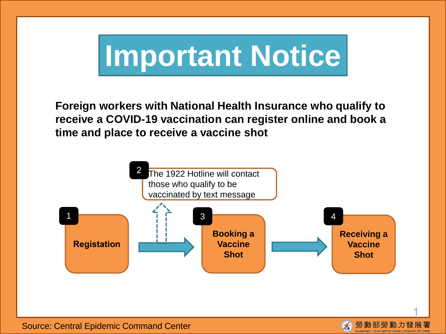# **Important Notice**

**Foreign workers with National Health Insurance who qualify to receive a COVID-19 vaccination can register online and book a time and place to receive a vaccine shot**





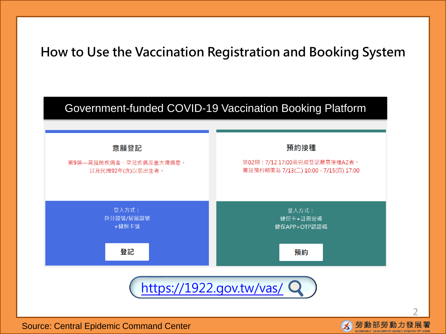### **How to Use the Vaccination Registration and Booking System**



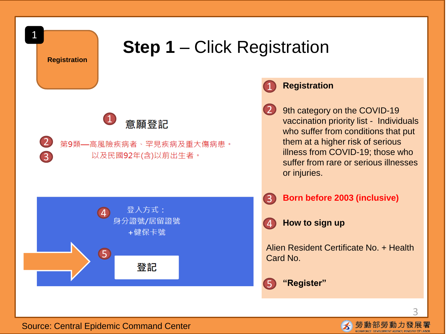

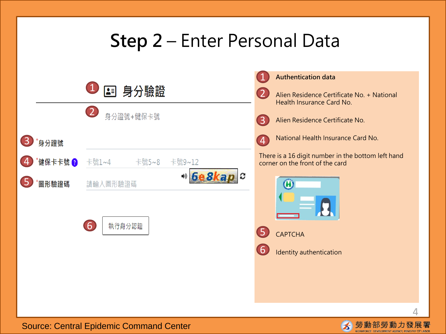## **Step 2** – Enter Personal Data



勞動部勞動力發展署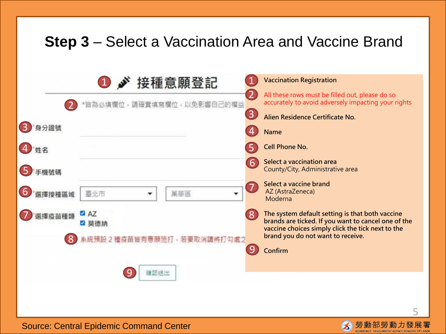## **Step 3** – Select a Vaccination Area and Vaccine Brand

|        | 1 ♪ 接種意願登記                  |                   | <b>Vaccination Registration</b>                                                                                                                             |
|--------|-----------------------------|-------------------|-------------------------------------------------------------------------------------------------------------------------------------------------------------|
|        | 皆為必填欄位,請確實填寫欄位,以免影響自己的權益    |                   | All these rows must be filled out, please do so<br>accurately to avoid adversely impacting your rights                                                      |
|        |                             | $\left( 3\right)$ | Alien Residence Certificate No.                                                                                                                             |
| 身分證號   |                             |                   | <b>Name</b>                                                                                                                                                 |
| 姓名     |                             |                   | <b>Cell Phone No.</b>                                                                                                                                       |
| 手機號碼   |                             | 6                 | Select a vaccination area<br>County/City, Administrative area                                                                                               |
| 接種區域   | 臺北市<br>萬華區                  |                   | Select a vaccine brand<br>AZ (AstraZeneca)<br>Moderna                                                                                                       |
| 巽擇疫苗種類 | AZ<br>莫德納                   | $ 8\rangle$       | The system default setting is that both vaccine<br>brands are ticked. If you want to cancel one of the<br>vaccine choices simply click the tick next to the |
|        | 系統預設 2 種疫苗皆有意願施打,若要取消請將打勾處之 |                   | brand you do not want to receive.<br>Confirm                                                                                                                |
|        | 確認送出                        |                   |                                                                                                                                                             |



5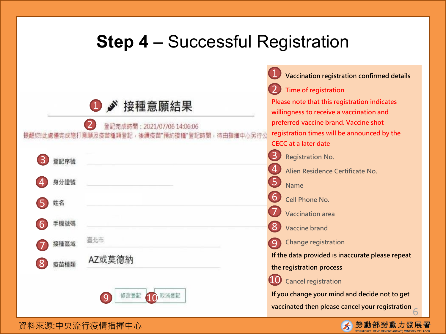## **Step 4** – Successful Registration

|                                                                         | $\overline{1}$<br>Vaccination registration confirmed details                                                                   |
|-------------------------------------------------------------------------|--------------------------------------------------------------------------------------------------------------------------------|
|                                                                         | Time of registration                                                                                                           |
| ■ 接種意願結果<br>$\bigcirc$                                                  | Please note that this registration indicates<br>willingness to receive a vaccination and                                       |
| 置記完成時間: 2021/07/06 14:06:06<br>僅完成施打意願及疫苗種類登記,後續疫苗"預約接種"登記時間<br>看撞中心另行公 | preferred vaccine brand. Vaccine shot<br>registration times will be announced by the<br><b>CECC</b> at a later date            |
| 登記序號                                                                    | $\overline{3}$<br><b>Registration No.</b>                                                                                      |
|                                                                         | $\overline{4}$<br>Alien Residence Certificate No.                                                                              |
| 身分證號                                                                    | 5<br><b>Name</b>                                                                                                               |
| 姓名                                                                      | 6<br><b>Cell Phone No.</b>                                                                                                     |
| 手機號碼                                                                    | <b>Vaccination area</b>                                                                                                        |
|                                                                         | <b>Vaccine brand</b>                                                                                                           |
| 臺北市<br>接種區域                                                             | <b>Change registration</b><br>9                                                                                                |
| AZ或莫德納<br>疫苗種類                                                          | If the data provided is inaccurate please repeat<br>the registration process                                                   |
| 取消登記<br>修改登記                                                            | <b>Cancel registration</b><br>If you change your mind and decide not to get<br>vaccinated then please cancel your registration |
| 資料來源:中央流行疫情指揮中心                                                         | 勞動部勞動力發展署<br>$\blacktriangleright$                                                                                             |

◚

WORKFORCE DEVELOPMENT AGENCY, MINISTRY OF LABOR

資料來源:中央流行疫情指揮中心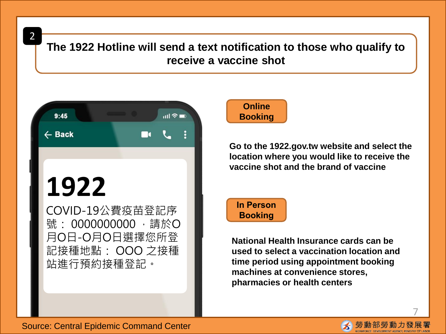2

**The 1922 Hotline will send a text notification to those who qualify to receive a vaccine shot**



## **1922**

COVID-19公費疫苗登記序 號: 0000000000 , 請於O 月O日-O月O日選擇您所登 記接種地點: OOO 之接種 站進行預約接種登記。



**Go to the 1922.gov.tw website and select the location where you would like to receive the vaccine shot and the brand of vaccine**



**National Health Insurance cards can be used to select a vaccination location and time period using appointment booking machines at convenience stores, pharmacies or health centers**



7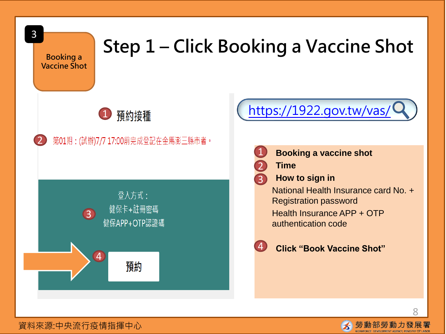

### 資料來源:中央流行疫情指揮中心

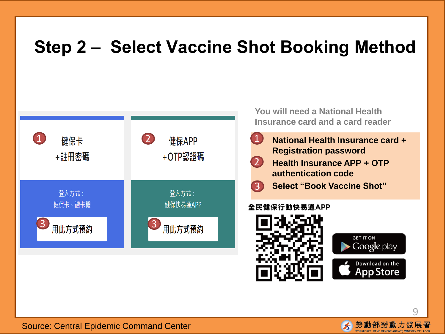## **Step 2 – Select Vaccine Shot Booking Method**



**You will need a National Health Insurance card and a card reader**

- **National Health Insurance card + Registration password**  1
- **Health Insurance APP + OTP authentication code** 2



### 全民健保行動快易通APP





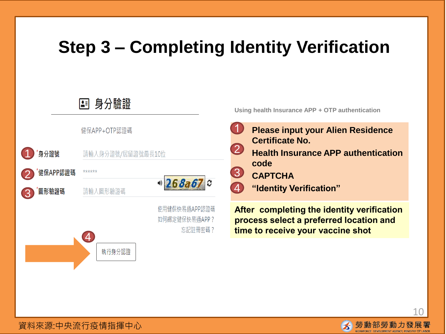## **Step 3 – Completing Identity Verification**



**Using health Insurance APP + OTP authentication**

- **Please input your Alien Residence Certificate No.** • **Health Insurance APP authentication code** • **CAPTCHA** 1 2 3 4
	- **"Identity Verification"**

**After completing the identity verification process select a preferred location and time to receive your vaccine shot**